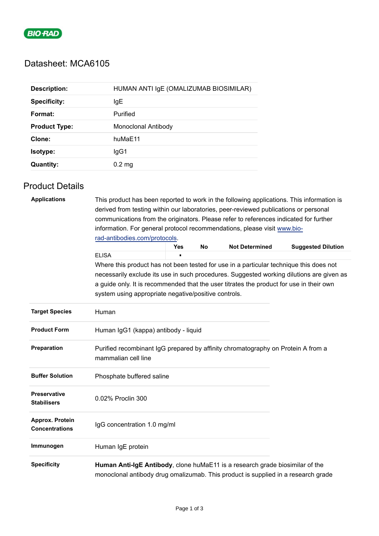

## Datasheet: MCA6105

| <b>Description:</b>  | HUMAN ANTI IgE (OMALIZUMAB BIOSIMILAR) |  |  |  |  |
|----------------------|----------------------------------------|--|--|--|--|
| <b>Specificity:</b>  | IgE                                    |  |  |  |  |
| Format:              | Purified                               |  |  |  |  |
| <b>Product Type:</b> | Monoclonal Antibody                    |  |  |  |  |
| Clone:               | huMaE11                                |  |  |  |  |
| <b>Isotype:</b>      | lgG1                                   |  |  |  |  |
| <b>Quantity:</b>     | $0.2 \text{ mg}$                       |  |  |  |  |

## Product Details

| <b>Applications</b>                       | This product has been reported to work in the following applications. This information is<br>derived from testing within our laboratories, peer-reviewed publications or personal<br>communications from the originators. Please refer to references indicated for further<br>information. For general protocol recommendations, please visit www.bio-<br>rad-antibodies.com/protocols. |     |           |                       |                                                                                          |  |  |  |
|-------------------------------------------|-----------------------------------------------------------------------------------------------------------------------------------------------------------------------------------------------------------------------------------------------------------------------------------------------------------------------------------------------------------------------------------------|-----|-----------|-----------------------|------------------------------------------------------------------------------------------|--|--|--|
|                                           | <b>ELISA</b>                                                                                                                                                                                                                                                                                                                                                                            | Yes | <b>No</b> | <b>Not Determined</b> | <b>Suggested Dilution</b>                                                                |  |  |  |
|                                           | Where this product has not been tested for use in a particular technique this does not<br>a guide only. It is recommended that the user titrates the product for use in their own<br>system using appropriate negative/positive controls.                                                                                                                                               |     |           |                       | necessarily exclude its use in such procedures. Suggested working dilutions are given as |  |  |  |
| <b>Target Species</b>                     | Human                                                                                                                                                                                                                                                                                                                                                                                   |     |           |                       |                                                                                          |  |  |  |
| <b>Product Form</b>                       | Human IgG1 (kappa) antibody - liquid                                                                                                                                                                                                                                                                                                                                                    |     |           |                       |                                                                                          |  |  |  |
| Preparation                               | Purified recombinant IgG prepared by affinity chromatography on Protein A from a<br>mammalian cell line                                                                                                                                                                                                                                                                                 |     |           |                       |                                                                                          |  |  |  |
| <b>Buffer Solution</b>                    | Phosphate buffered saline                                                                                                                                                                                                                                                                                                                                                               |     |           |                       |                                                                                          |  |  |  |
| <b>Preservative</b><br><b>Stabilisers</b> | 0.02% Proclin 300                                                                                                                                                                                                                                                                                                                                                                       |     |           |                       |                                                                                          |  |  |  |
| Approx. Protein<br><b>Concentrations</b>  | IgG concentration 1.0 mg/ml                                                                                                                                                                                                                                                                                                                                                             |     |           |                       |                                                                                          |  |  |  |
| Immunogen                                 | Human IgE protein                                                                                                                                                                                                                                                                                                                                                                       |     |           |                       |                                                                                          |  |  |  |
| <b>Specificity</b>                        | Human Anti-IgE Antibody, clone huMaE11 is a research grade biosimilar of the<br>monoclonal antibody drug omalizumab. This product is supplied in a research grade                                                                                                                                                                                                                       |     |           |                       |                                                                                          |  |  |  |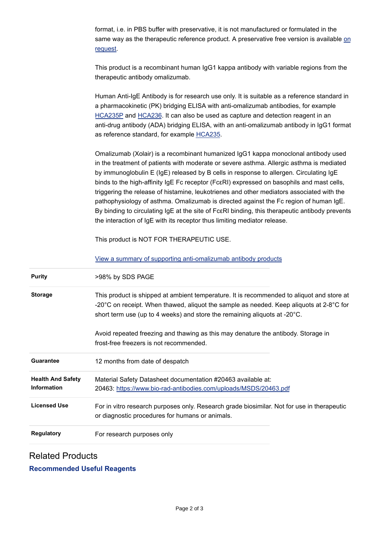format, i.e. in PBS buffer with preservative, it is not manufactured or formulated in the same way as the therapeutic reference product. A preservative free version is available [on](https://info.bio-rad.com/bulk-antibody-manufacture.html) request.

This product is a recombinant human IgG1 kappa antibody with variable regions from the therapeutic antibody omalizumab.

Human Anti-IgE Antibody is for research use only. It is suitable as a reference standard in a pharmacokinetic (PK) bridging ELISA with anti-omalizumab antibodies, for example [HCA235P a](https://www.bio-rad-antibodies.com/product/partnumber/HCA235P.html)nd [HCA236.](https://www.bio-rad-antibodies.com/product/partnumber/HCA236.html) It can also be used as capture and detection reagent in an anti-drug antibody (ADA) bridging ELISA, with an anti-omalizumab antibody in IgG1 format as reference standard, for example [HCA235.](https://www.bio-rad-antibodies.com/product/partnumber/HCA235.html)

Omalizumab (Xolair) is a recombinant humanized IgG1 kappa monoclonal antibody used in the treatment of patients with moderate or severe asthma. Allergic asthma is mediated by immunoglobulin E (IgE) released by B cells in response to allergen. Circulating IgE binds to the high-affinity IgE Fc receptor (Fc $\varepsilon$ RI) expressed on basophils and mast cells, triggering the release of histamine, leukotrienes and other mediators associated with the pathophysiology of asthma. Omalizumab is directed against the Fc region of human IgE. By binding to circulating IgE at the site of FcεRI binding, this therapeutic antibody prevents the interaction of IgE with its receptor thus limiting mediator release.

This product is NOT FOR THERAPEUTIC USE.

[View a summary of supporting anti-omalizumab antibody products](https://www.bio-rad-antibodies.com/anti-xolair-omalizumab-antibodies.html)

| <b>Purity</b>                                  | >98% by SDS PAGE                                                                                                                                                                                                                                                                        |
|------------------------------------------------|-----------------------------------------------------------------------------------------------------------------------------------------------------------------------------------------------------------------------------------------------------------------------------------------|
| <b>Storage</b>                                 | This product is shipped at ambient temperature. It is recommended to aliquot and store at<br>-20 $^{\circ}$ C on receipt. When thawed, aliquot the sample as needed. Keep aliquots at 2-8 $^{\circ}$ C for<br>short term use (up to 4 weeks) and store the remaining aliquots at -20°C. |
|                                                | Avoid repeated freezing and thawing as this may denature the antibody. Storage in<br>frost-free freezers is not recommended.                                                                                                                                                            |
| <b>Guarantee</b>                               | 12 months from date of despatch                                                                                                                                                                                                                                                         |
| <b>Health And Safety</b><br><b>Information</b> | Material Safety Datasheet documentation #20463 available at:<br>20463: https://www.bio-rad-antibodies.com/uploads/MSDS/20463.pdf                                                                                                                                                        |
| <b>Licensed Use</b>                            | For in vitro research purposes only. Research grade biosimilar. Not for use in therapeutic<br>or diagnostic procedures for humans or animals.                                                                                                                                           |
| <b>Regulatory</b>                              | For research purposes only                                                                                                                                                                                                                                                              |

## Related Products

**Recommended Useful Reagents**